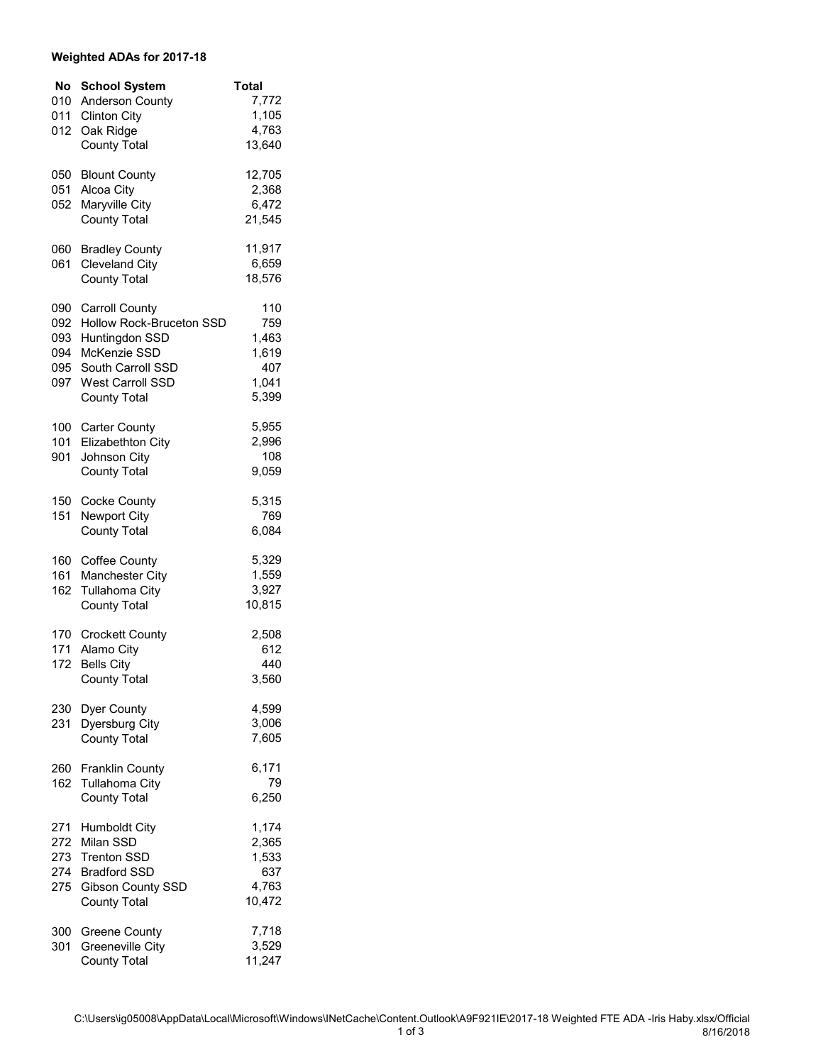## **Weighted ADAs for 2017-18**

| No         | <b>School System</b>                              | <b>Total</b>   |
|------------|---------------------------------------------------|----------------|
| 010<br>011 | Anderson County<br><b>Clinton City</b>            | 7,772<br>1,105 |
| 012        | Oak Ridge                                         | 4,763          |
|            | <b>County Total</b>                               | 13,640         |
| 050        | <b>Blount County</b>                              | 12,705         |
| 051<br>052 | Alcoa City<br>Maryville City                      | 2,368<br>6,472 |
|            | <b>County Total</b>                               | 21,545         |
| 060        | <b>Bradley County</b>                             | 11,917         |
| 061        | <b>Cleveland City</b>                             | 6,659          |
|            | <b>County Total</b>                               | 18,576         |
| 090        | <b>Carroll County</b><br>Hollow Rock-Bruceton SSD | 110<br>759     |
| 092<br>093 | Huntingdon SSD                                    | 1,463          |
| 094        | McKenzie SSD                                      | 1,619          |
| 095<br>097 | South Carroll SSD<br>West Carroll SSD             | 407<br>1,041   |
|            | <b>County Total</b>                               | 5,399          |
| 100        | <b>Carter County</b>                              | 5,955          |
| 101<br>901 | Elizabethton City<br>Johnson City                 | 2,996<br>108   |
|            | <b>County Total</b>                               | 9,059          |
| 150        | Cocke County                                      | 5,315          |
| 151        | Newport City<br><b>County Total</b>               | 769<br>6,084   |
| 160        | <b>Coffee County</b>                              | 5,329          |
| 161        | Manchester City                                   | 1,559          |
| 162        | Tullahoma City                                    | 3,927          |
|            | <b>County Total</b>                               | 10,815         |
| 170<br>171 | <b>Crockett County</b>                            | 2,508<br>612   |
| 172        | Alamo City<br><b>Bells City</b>                   | 440            |
|            | County Total                                      | 3,560          |
| 230        | Dyer County                                       | 4,599          |
| 231        | Dyersburg City<br><b>County Total</b>             | 3,006<br>7,605 |
|            |                                                   |                |
| 162        | 260 Franklin County<br><b>Tullahoma City</b>      | 6,171<br>79    |
|            | <b>County Total</b>                               | 6,250          |
| 271        | <b>Humboldt City</b>                              | 1,174          |
| 272<br>273 | Milan SSD<br><b>Trenton SSD</b>                   | 2,365<br>1,533 |
| 274        | <b>Bradford SSD</b>                               | 637            |
| 275        | Gibson County SSD                                 | 4,763          |
|            | <b>County Total</b>                               | 10,472         |
| 300<br>301 | <b>Greene County</b><br>Greeneville City          | 7,718<br>3,529 |
|            | <b>County Total</b>                               | 11,247         |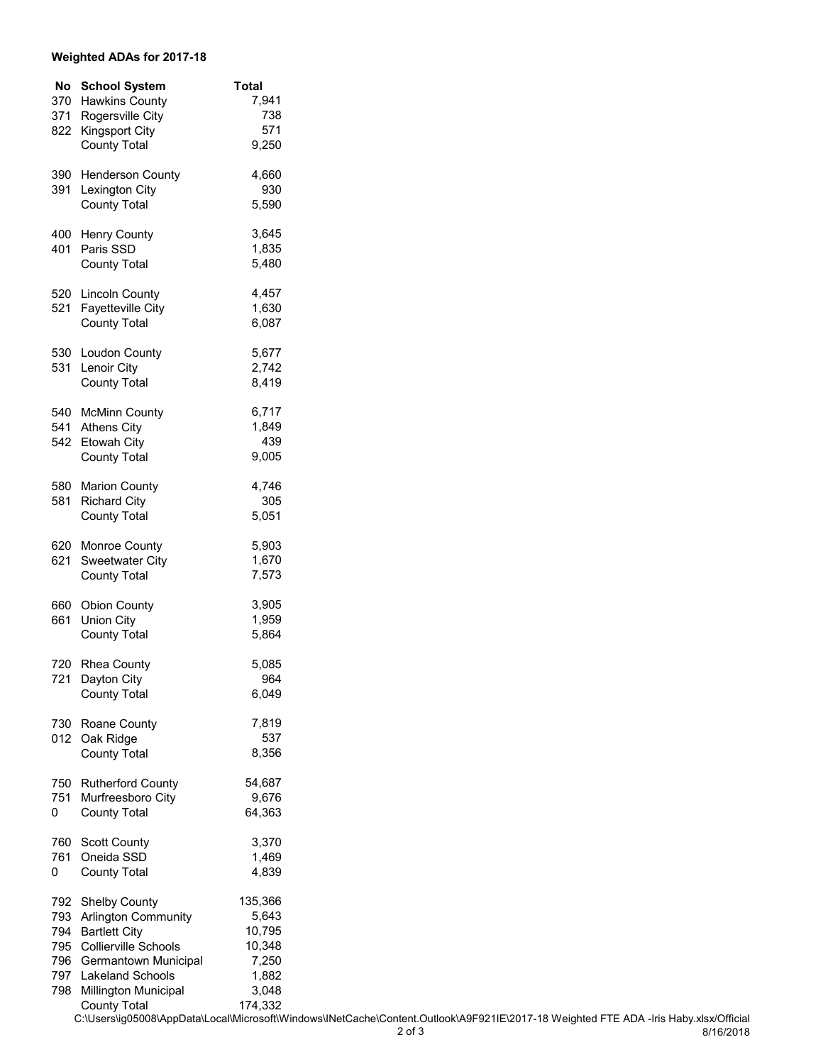## **Weighted ADAs for 2017-18**

| No         | <b>School System</b>                         | <b>Total</b>   |
|------------|----------------------------------------------|----------------|
| 370        | <b>Hawkins County</b>                        | 7,941          |
| 371        | Rogersville City                             | 738            |
| 822        | <b>Kingsport City</b>                        | 571            |
|            | <b>County Total</b>                          | 9,250          |
|            |                                              |                |
| 390        | <b>Henderson County</b>                      | 4,660          |
| 391        | Lexington City                               | 930            |
|            | <b>County Total</b>                          | 5,590          |
|            |                                              |                |
| 400        | <b>Henry County</b>                          | 3,645          |
| 401        | Paris SSD                                    | 1,835          |
|            | <b>County Total</b>                          | 5,480          |
| 520        | <b>Lincoln County</b>                        | 4,457          |
| 521        | <b>Fayetteville City</b>                     | 1,630          |
|            | <b>County Total</b>                          | 6,087          |
|            |                                              |                |
| 530        | Loudon County                                | 5,677          |
| 531        | Lenoir City                                  | 2,742          |
|            | <b>County Total</b>                          | 8,419          |
|            |                                              |                |
| 540        | <b>McMinn County</b>                         | 6,717          |
| 541        | <b>Athens City</b>                           | 1,849          |
| 542        | Etowah City                                  | 439            |
|            | <b>County Total</b>                          | 9,005          |
| 580        | <b>Marion County</b>                         | 4,746          |
| 581        | <b>Richard City</b>                          | 305            |
|            | <b>County Total</b>                          | 5,051          |
|            |                                              |                |
| 620        | Monroe County                                | 5,903          |
| 621        | Sweetwater City                              | 1,670          |
|            | <b>County Total</b>                          | 7,573          |
|            |                                              |                |
| 660        | <b>Obion County</b>                          | 3,905          |
| 661        | <b>Union City</b>                            | 1,959          |
|            | <b>County Total</b>                          | 5,864          |
|            |                                              |                |
| 720        | Rhea County                                  | 5,085          |
| 721        | Dayton City                                  | 964            |
|            | <b>County Total</b>                          | 6,049          |
|            | 730 Roane County                             | 7,819          |
|            | 012 Oak Ridge                                | 537            |
|            | <b>County Total</b>                          | 8,356          |
|            |                                              |                |
|            | 750 Rutherford County                        | 54,687         |
| 751        | Murfreesboro City                            | 9,676          |
| 0          | <b>County Total</b>                          | 64,363         |
|            |                                              |                |
| 760<br>761 | Scott County<br>Oneida SSD                   | 3,370<br>1,469 |
|            |                                              |                |
| 0          | <b>County Total</b>                          | 4,839          |
| 792        | <b>Shelby County</b>                         | 135,366        |
| 793        | Arlington Community                          | 5,643          |
| 794        | <b>Bartlett City</b>                         | 10,795         |
| 795        | <b>Collierville Schools</b>                  | 10,348         |
|            | 796 Germantown Municipal                     | 7,250          |
| 797        | <b>Lakeland Schools</b>                      | 1,882          |
| 798        | Millington Municipal                         | 3,048          |
|            | <b>County Total</b>                          | 174,332        |
|            | C:\Users\ig05008\AppData\Local\Microsoft\Wir |                |

C:\Users\ig05008\AppData\Local\Microsoft\Windows\INetCache\Content.Outlook\A9F921IE\2017-18 Weighted FTE ADA -Iris Haby.xlsx/Official 8/16/2018